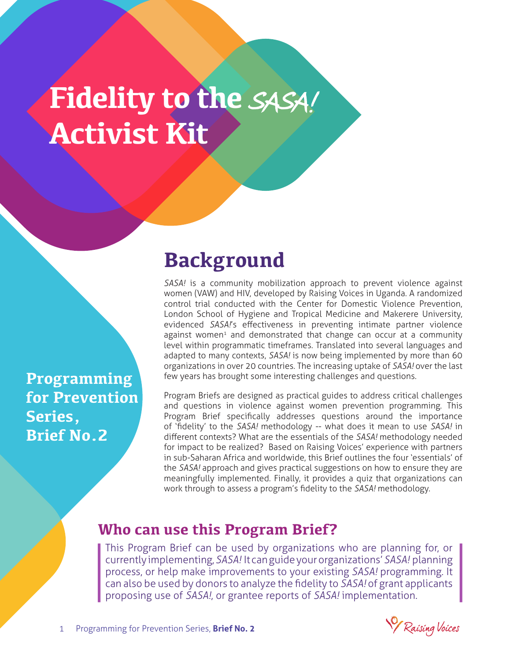# **Fidelity to the** SASA! **Activist Kit**

**Programming for Prevention Series, Brief No.2**

### **Background**

*SASA!* is a community mobilization approach to prevent violence against women (VAW) and HIV, developed by Raising Voices in Uganda. A randomized control trial conducted with the Center for Domestic Violence Prevention, London School of Hygiene and Tropical Medicine and Makerere University, evidenced *SASA!*'s effectiveness in preventing intimate partner violence against women<sup>1</sup> and demonstrated that change can occur at a community level within programmatic timeframes. Translated into several languages and adapted to many contexts, *SASA!* is now being implemented by more than 60 organizations in over 20 countries. The increasing uptake of *SASA!* over the last few years has brought some interesting challenges and questions.

Program Briefs are designed as practical guides to address critical challenges and questions in violence against women prevention programming. This Program Brief specifically addresses questions around the importance of 'fidelity' to the *SASA!* methodology -- what does it mean to use *SASA!* in different contexts? What are the essentials of the *SASA!* methodology needed for impact to be realized? Based on Raising Voices' experience with partners in sub-Saharan Africa and worldwide, this Brief outlines the four 'essentials' of the *SASA!* approach and gives practical suggestions on how to ensure they are meaningfully implemented. Finally, it provides a quiz that organizations can work through to assess a program's fidelity to the *SASA!* methodology.

#### **Who can use this Program Brief?**

This Program Brief can be used by organizations who are planning for, or currently implementing, *SASA!* It can guide your organizations' *SASA!* planning process, or help make improvements to your existing *SASA!* programming. It can also be used by donors to analyze the fidelity to *SASA!* of grant applicants proposing use of *SASA!*, or grantee reports of *SASA!* implementation.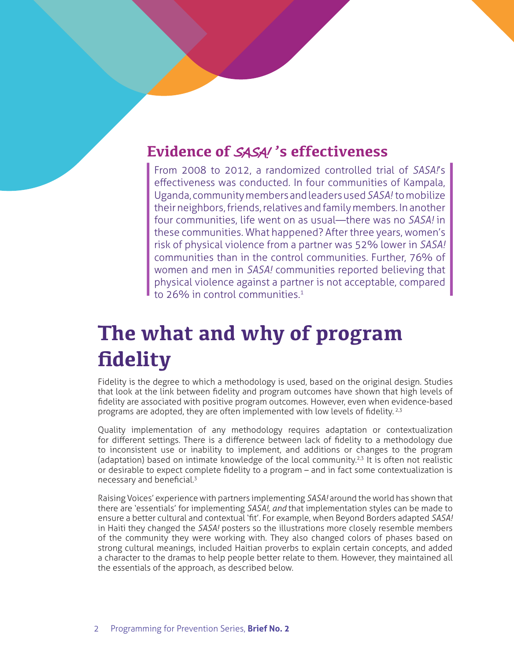### **Evidence of** SASA! **'s effectiveness**

From 2008 to 2012, a randomized controlled trial of *SASA!*'s effectiveness was conducted. In four communities of Kampala, Uganda, community members and leaders used *SASA!* to mobilize their neighbors, friends, relatives and family members. In another four communities, life went on as usual—there was no *SASA!* in these communities. What happened? After three years, women's risk of physical violence from a partner was 52% lower in *SASA!* communities than in the control communities. Further, 76% of women and men in *SASA!* communities reported believing that physical violence against a partner is not acceptable, compared to 26% in control communities.1

# **The what and why of program fidelity**

Fidelity is the degree to which a methodology is used, based on the original design. Studies that look at the link between fidelity and program outcomes have shown that high levels of fidelity are associated with positive program outcomes. However, even when evidence-based programs are adopted, they are often implemented with low levels of fidelity.<sup>2,3</sup>

Quality implementation of any methodology requires adaptation or contextualization for different settings. There is a difference between lack of fidelity to a methodology due to inconsistent use or inability to implement, and additions or changes to the program (adaptation) based on intimate knowledge of the local community.2,3 It is often not realistic or desirable to expect complete fidelity to a program – and in fact some contextualization is necessary and beneficial.<sup>3</sup>

Raising Voices' experience with partners implementing *SASA!* around the world has shown that there are 'essentials' for implementing *SASA!, and* that implementation styles can be made to ensure a better cultural and contextual 'fit'. For example, when Beyond Borders adapted *SASA!* in Haiti they changed the *SASA!* posters so the illustrations more closely resemble members of the community they were working with. They also changed colors of phases based on strong cultural meanings, included Haitian proverbs to explain certain concepts, and added a character to the dramas to help people better relate to them. However, they maintained all the essentials of the approach, as described below.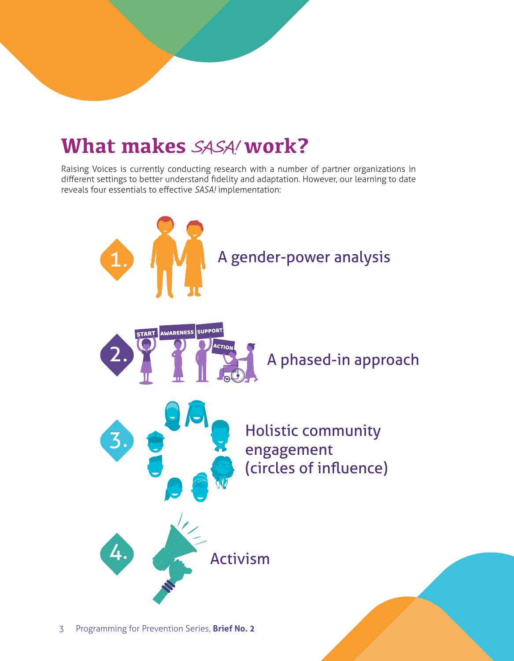# **What makes** SASA! **work?**

Raising Voices is currently conducting research with a number of partner organizations in different settings to better understand fidelity and adaptation. However, our learning to date reveals four essentials to effective *SASA!* implementation:

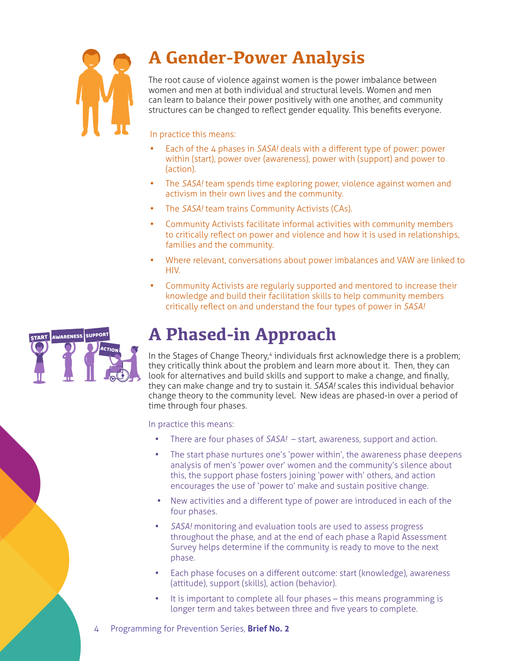

### **A Gender-Power Analysis**

The root cause of violence against women is the power imbalance between women and men at both individual and structural levels. Women and men can learn to balance their power positively with one another, and community structures can be changed to reflect gender equality. This benefits everyone.

In practice this means:

- Each of the 4 phases in *SASA!* deals with a different type of power: power within (start), power over (awareness), power with (support) and power to (action).
- The *SASA!* team spends time exploring power, violence against women and activism in their own lives and the community.
- The *SASA!* team trains Community Activists (CAs).
- Community Activists facilitate informal activities with community members to critically reflect on power and violence and how it is used in relationships, families and the community.
- Where relevant, conversations about power imbalances and VAW are linked to HIV.
- Community Activists are regularly supported and mentored to increase their knowledge and build their facilitation skills to help community members critically reflect on and understand the four types of power in *SASA!*



### **A Phased-in Approach**

In the Stages of Change Theory,<sup>4</sup> individuals first acknowledge there is a problem; they critically think about the problem and learn more about it. Then, they can look for alternatives and build skills and support to make a change, and finally, they can make change and try to sustain it. *SASA!* scales this individual behavior change theory to the community level. New ideas are phased-in over a period of time through four phases.

In practice this means:

- There are four phases of *SASA!* start, awareness, support and action.
- The start phase nurtures one's 'power within', the awareness phase deepens analysis of men's 'power over' women and the community's silence about this, the support phase fosters joining 'power with' others, and action encourages the use of 'power to' make and sustain positive change.
- New activities and a different type of power are introduced in each of the four phases.
- SASA! monitoring and evaluation tools are used to assess progress throughout the phase, and at the end of each phase a Rapid Assessment Survey helps determine if the community is ready to move to the next phase.
- Each phase focuses on a different outcome: start (knowledge), awareness (attitude), support (skills), action (behavior).
- It is important to complete all four phases this means programming is longer term and takes between three and five years to complete.
- 4 Programming for Prevention Series, **Brief No. 2**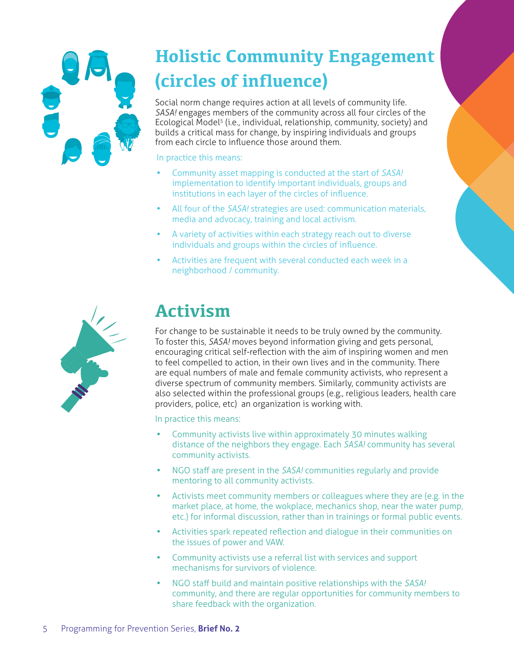

# **Holistic Community Engagement (circles of influence)**

Social norm change requires action at all levels of community life. *SASA!* engages members of the community across all four circles of the Ecological Model5 (i.e., individual, relationship, community, society) and builds a critical mass for change, by inspiring individuals and groups from each circle to influence those around them.

In practice this means:

- Community asset mapping is conducted at the start of *SASA!* implementation to identify important individuals, groups and institutions in each layer of the circles of influence.
- All four of the *SASA!* strategies are used: communication materials, media and advocacy, training and local activism.
- A variety of activities within each strategy reach out to diverse individuals and groups within the circles of influence.
- Activities are frequent with several conducted each week in a neighborhood / community.



### **Activism**

For change to be sustainable it needs to be truly owned by the community. To foster this, *SASA!* moves beyond information giving and gets personal, encouraging critical self-reflection with the aim of inspiring women and men to feel compelled to action, in their own lives and in the community. There are equal numbers of male and female community activists, who represent a diverse spectrum of community members. Similarly, community activists are also selected within the professional groups (e.g., religious leaders, health care providers, police, etc) an organization is working with.

In practice this means:

- Community activists live within approximately 30 minutes walking distance of the neighbors they engage. Each *SASA!* community has several community activists.
- NGO staff are present in the *SASA!* communities regularly and provide mentoring to all community activists.
- Activists meet community members or colleagues where they are (e.g. in the market place, at home, the wokplace, mechanics shop, near the water pump, etc.) for informal discussion, rather than in trainings or formal public events.
- • Activities spark repeated reflection and dialogue in their communities on the issues of power and VAW.
- Community activists use a referral list with services and support mechanisms for survivors of violence.
- • NGO staff build and maintain positive relationships with the *SASA!* community, and there are regular opportunities for community members to share feedback with the organization.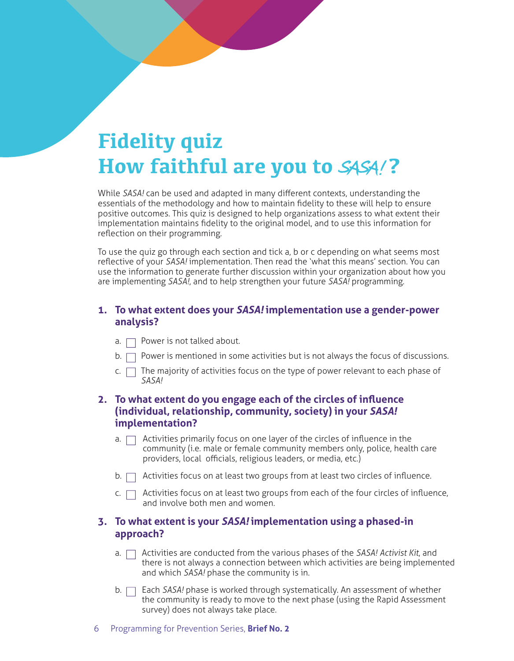# **Fidelity quiz How faithful are you to SASA!?**

While *SASA!* can be used and adapted in many different contexts, understanding the essentials of the methodology and how to maintain fidelity to these will help to ensure positive outcomes. This quiz is designed to help organizations assess to what extent their implementation maintains fidelity to the original model, and to use this information for reflection on their programming.

To use the quiz go through each section and tick a, b or c depending on what seems most reflective of your *SASA!* implementation. Then read the 'what this means' section. You can use the information to generate further discussion within your organization about how you are implementing *SASA!*, and to help strengthen your future *SASA!* programming.

#### **1. To what extent does your** *SASA!* **implementation use a gender-power analysis?**

- a.  $\Box$  Power is not talked about.
- $b.$  Power is mentioned in some activities but is not always the focus of discussions.
- c.  $\Box$  The majority of activities focus on the type of power relevant to each phase of *SASA!*

#### **2. To what extent do you engage each of the circles of influence (individual, relationship, community, society) in your** *SASA!* **implementation?**

- a.  $\Box$  Activities primarily focus on one layer of the circles of influence in the community (i.e. male or female community members only, police, health care providers, local officials, religious leaders, or media, etc.)
- $b.$  Activities focus on at least two groups from at least two circles of influence.
- c.  $\Box$  Activities focus on at least two groups from each of the four circles of influence, and involve both men and women.

#### **3. To what extent is your** *SASA!* **implementation using a phased-in approach?**

- a.  $\Box$  Activities are conducted from the various phases of the *SASA! Activist Kit*, and there is not always a connection between which activities are being implemented and which *SASA!* phase the community is in.
- b.  $\Box$  Each *SASA!* phase is worked through systematically. An assessment of whether the community is ready to move to the next phase (using the Rapid Assessment survey) does not always take place.
- 6 Programming for Prevention Series, **Brief No. 2**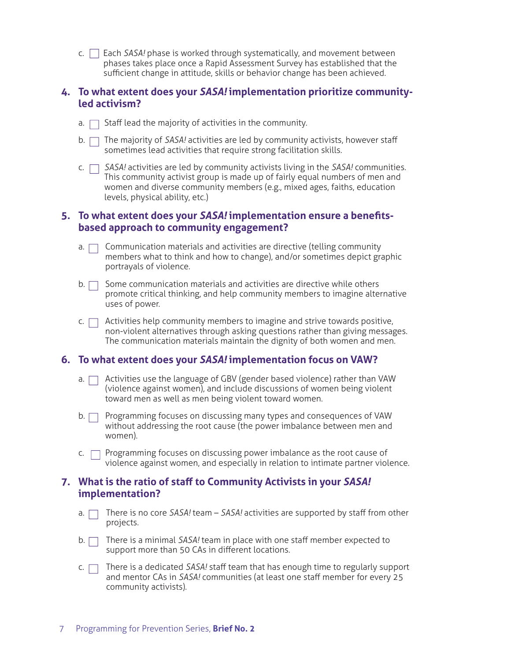c. Each *SASA!* phase is worked through systematically, and movement between phases takes place once a Rapid Assessment Survey has established that the sufficient change in attitude, skills or behavior change has been achieved.

#### **4. To what extent does your** *SASA!* **implementation prioritize communityled activism?**

- a.  $\Box$  Staff lead the majority of activities in the community.
- b. The majority of *SASA!* activities are led by community activists, however staff sometimes lead activities that require strong facilitation skills.
- c. *SASA!* activities are led by community activists living in the *SASA!* communities. This community activist group is made up of fairly equal numbers of men and women and diverse community members (e.g., mixed ages, faiths, education levels, physical ability, etc.)

#### **5. To what extent does your** *SASA!* **implementation ensure a benefitsbased approach to community engagement?**

- a.  $\Box$  Communication materials and activities are directive (telling community members what to think and how to change), and/or sometimes depict graphic portrayals of violence.
- $b.$   $\Box$  Some communication materials and activities are directive while others promote critical thinking, and help community members to imagine alternative uses of power.
- $\mathsf{c}$ .  $\Box$  Activities help community members to imagine and strive towards positive, non-violent alternatives through asking questions rather than giving messages. The communication materials maintain the dignity of both women and men.

#### **6. To what extent does your** *SASA!* **implementation focus on VAW?**

- a.  $\Box$  Activities use the language of GBV (gender based violence) rather than VAW (violence against women), and include discussions of women being violent toward men as well as men being violent toward women.
- b.  $\Box$  Programming focuses on discussing many types and consequences of VAW without addressing the root cause (the power imbalance between men and women).
- $c.$   $\Box$  Programming focuses on discussing power imbalance as the root cause of violence against women, and especially in relation to intimate partner violence.

#### **7. What is the ratio of staff to Community Activists in your** *SASA!* **implementation?**

- a. There is no core *SASA!* team *SASA!* activities are supported by staff from other projects.
- b. There is a minimal *SASA!* team in place with one staff member expected to support more than 50 CAs in different locations.
- c.  $\Box$  There is a dedicated SASA! staff team that has enough time to regularly support and mentor CAs in *SASA!* communities (at least one staff member for every 25 community activists).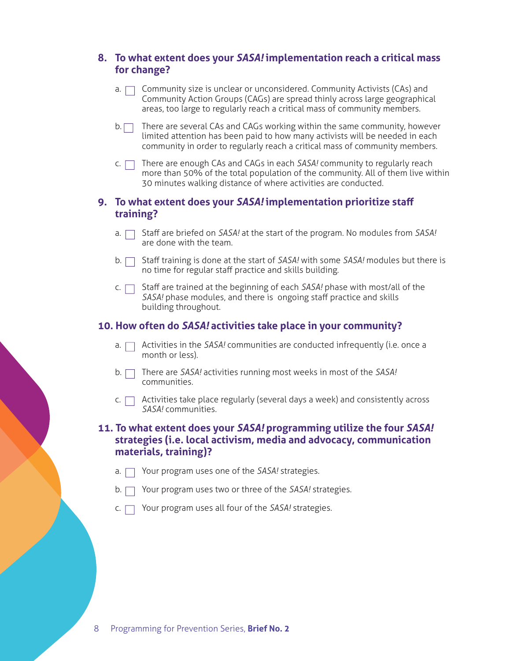#### **8. To what extent does your** *SASA!* **implementation reach a critical mass for change?**

- a.  $\Box$  Community size is unclear or unconsidered. Community Activists (CAs) and Community Action Groups (CAGs) are spread thinly across large geographical areas, too large to regularly reach a critical mass of community members.
- $b.$  There are several CAs and CAGs working within the same community, however limited attention has been paid to how many activists will be needed in each community in order to regularly reach a critical mass of community members.
- c.  $\Box$  There are enough CAs and CAGs in each SASA! community to regularly reach more than 50% of the total population of the community. All of them live within 30 minutes walking distance of where activities are conducted.

#### **9. To what extent does your** *SASA!* **implementation prioritize staff training?**

- a.  $\Box$  Staff are briefed on *SASA!* at the start of the program. No modules from *SASA!* are done with the team.
- b. □ Staff training is done at the start of *SASA!* with some *SASA!* modules but there is no time for regular staff practice and skills building.
- c.  $\Box$  Staff are trained at the beginning of each *SASA!* phase with most/all of the *SASA!* phase modules, and there is ongoing staff practice and skills building throughout.

#### **10. How often do** *SASA!* **activities take place in your community?**

- a.  $\Box$  Activities in the *SASA!* communities are conducted infrequently (i.e. once a month or less).
- b. There are *SASA!* activities running most weeks in most of the *SASA!* communities.
- $\mathsf{c}$ .  $\Box$  Activities take place regularly (several days a week) and consistently across *SASA!* communities.

#### **11. To what extent does your** *SASA!* **programming utilize the four** *SASA!*  **strategies (i.e. local activism, media and advocacy, communication materials, training)?**

- Your program uses one of the *SASA!* strategies.
- b. Your program uses two or three of the *SASA!* strategies.
- c.  $\Box$  Your program uses all four of the *SASA!* strategies.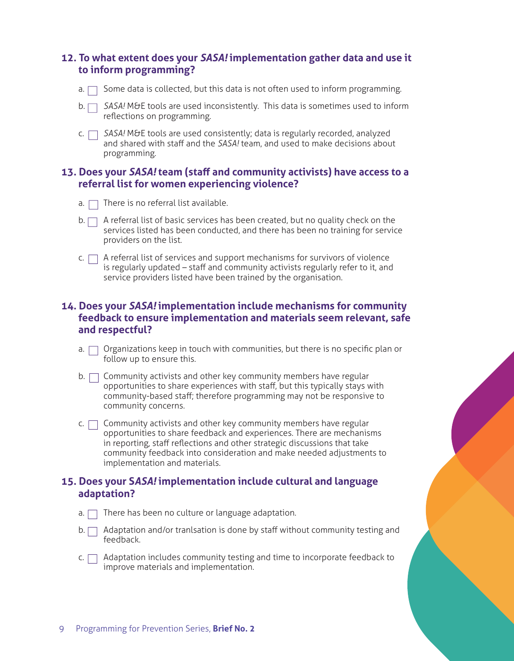#### **12. To what extent does your** *SASA!* **implementation gather data and use it to inform programming?**

- a.  $\Box$  Some data is collected, but this data is not often used to inform programming.
- b.  $\Box$  SASA! M&E tools are used inconsistently. This data is sometimes used to inform reflections on programming.
- c.  $\Box$  SASA! M&E tools are used consistently; data is regularly recorded, analyzed and shared with staff and the *SASA!* team, and used to make decisions about programming.

#### **13. Does your** *SASA!* **team (staff and community activists) have access to a referral list for women experiencing violence?**

- $a. \Box$  There is no referral list available.
- $b.$  A referral list of basic services has been created, but no quality check on the services listed has been conducted, and there has been no training for service providers on the list.
- $c.$  A referral list of services and support mechanisms for survivors of violence is regularly updated – staff and community activists regularly refer to it, and service providers listed have been trained by the organisation.

#### **14. Does your** *SASA!* **implementation include mechanisms for community feedback to ensure implementation and materials seem relevant, safe and respectful?**

- a.  $\Box$  Organizations keep in touch with communities, but there is no specific plan or follow up to ensure this.
- $b.$   $\Box$  Community activists and other key community members have regular opportunities to share experiences with staff, but this typically stays with community-based staff; therefore programming may not be responsive to community concerns.
- $c.$   $\Box$  Community activists and other key community members have regular opportunities to share feedback and experiences. There are mechanisms in reporting, staff reflections and other strategic discussions that take community feedback into consideration and make needed adjustments to implementation and materials.

#### **15. Does your S***ASA!* **implementation include cultural and language adaptation?**

- $a.$  There has been no culture or language adaptation.
- $b.$  Adaptation and/or tranlsation is done by staff without community testing and feedback.
- $c.$  Adaptation includes community testing and time to incorporate feedback to improve materials and implementation.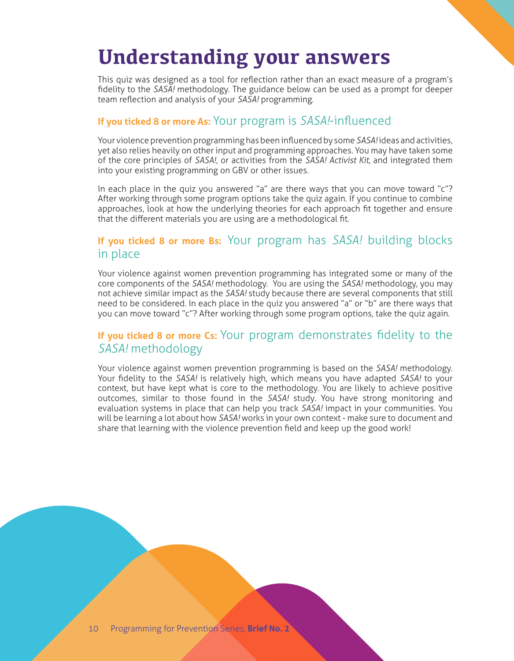# **Understanding your answers**

This quiz was designed as a tool for reflection rather than an exact measure of a program's fidelity to the *SASA!* methodology. The guidance below can be used as a prompt for deeper team reflection and analysis of your *SASA!* programming.

#### **If you ticked 8 or more As:** Your program is *SASA!*-influenced

Your violence prevention programming has been influenced by some *SASA!* ideas and activities, yet also relies heavily on other input and programming approaches. You may have taken some of the core principles of *SASA!*, or activities from the *SASA! Activist Kit*, and integrated them into your existing programming on GBV or other issues.

In each place in the quiz you answered "a" are there ways that you can move toward "c"? After working through some program options take the quiz again. If you continue to combine approaches, look at how the underlying theories for each approach fit together and ensure that the different materials you are using are a methodological fit.

#### **If you ticked 8 or more Bs:** Your program has *SASA!* building blocks in place

Your violence against women prevention programming has integrated some or many of the core components of the *SASA!* methodology. You are using the *SASA!* methodology, you may not achieve similar impact as the *SASA!* study because there are several components that still need to be considered. In each place in the quiz you answered "a" or "b" are there ways that you can move toward "c"? After working through some program options, take the quiz again.

#### **If you ticked 8 or more Cs:** Your program demonstrates fidelity to the *SASA!* methodology

Your violence against women prevention programming is based on the *SASA!* methodology. Your fidelity to the *SASA!* is relatively high, which means you have adapted *SASA!* to your context, but have kept what is core to the methodology. You are likely to achieve positive outcomes, similar to those found in the *SASA!* study. You have strong monitoring and evaluation systems in place that can help you track *SASA!* impact in your communities. You will be learning a lot about how *SASA!* works in your own context - make sure to document and share that learning with the violence prevention field and keep up the good work!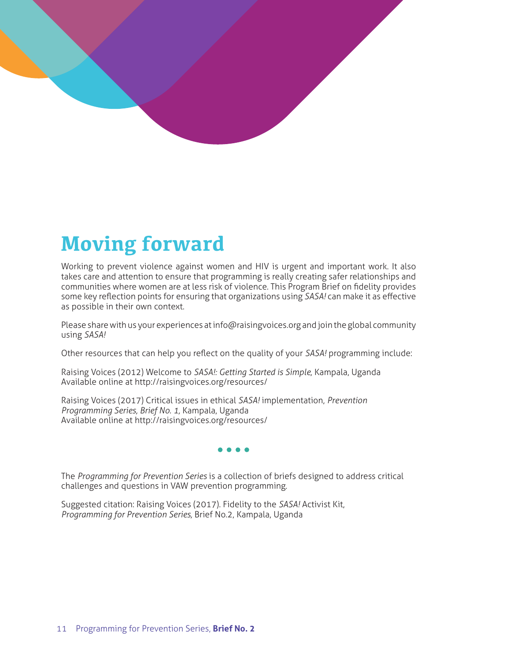

# **Moving forward**

Working to prevent violence against women and HIV is urgent and important work. It also takes care and attention to ensure that programming is really creating safer relationships and communities where women are at less risk of violence. This Program Brief on fidelity provides some key reflection points for ensuring that organizations using *SASA!* can make it as effective as possible in their own context.

Please share with us your experiences at info@raisingvoices.org and join the global community using *SASA!*

Other resources that can help you reflect on the quality of your *SASA!* programming include:

Raising Voices (2012) Welcome to *SASA!: Getting Started is Simple,* Kampala, Uganda Available online at http://raisingvoices.org/resources/

Raising Voices (2017) Critical issues in ethical *SASA!* implementation, *Prevention Programming Series, Brief No. 1,* Kampala, Uganda Available online at http://raisingvoices.org/resources/

#### $\bullet$   $\bullet$

The *Programming for Prevention Series* is a collection of briefs designed to address critical challenges and questions in VAW prevention programming.

Suggested citation: Raising Voices (2017). Fidelity to the *SASA!* Activist Kit, *Programming for Prevention Series,* Brief No.2, Kampala, Uganda